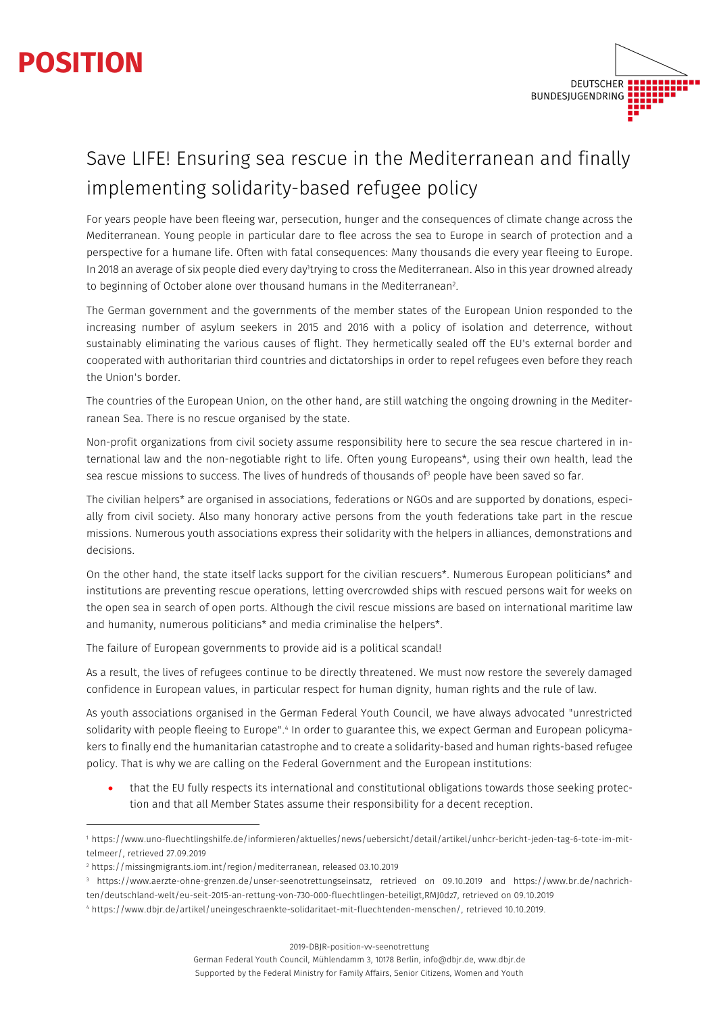## **POSITION**



## Save LIFE! Ensuring sea rescue in the Mediterranean and finally implementing solidarity-based refugee policy

For years people have been fleeing war, persecution, hunger and the consequences of climate change across the Mediterranean. Young people in particular dare to flee across the sea to Europe in search of protection and a perspective for a humane life. Often with fatal consequences: Many thousands die every year fleeing to Europe. In 2018 an average of six people died every day'trying to cross the Mediterranean. Also in this year drowned already to beginning of October alone over thousand humans in the Mediterranean<sup>2</sup>.

The German government and the governments of the member states of the European Union responded to the increasing number of asylum seekers in 2015 and 2016 with a policy of isolation and deterrence, without sustainably eliminating the various causes of flight. They hermetically sealed off the EU's external border and cooperated with authoritarian third countries and dictatorships in order to repel refugees even before they reach the Union's border.

The countries of the European Union, on the other hand, are still watching the ongoing drowning in the Mediterranean Sea. There is no rescue organised by the state.

Non-profit organizations from civil society assume responsibility here to secure the sea rescue chartered in international law and the non-negotiable right to life. Often young Europeans\*, using their own health, lead the sea rescue missions to success. The lives of hundreds of thousands of<sup>3</sup> people have been saved so far.

The civilian helpers\* are organised in associations, federations or NGOs and are supported by donations, especially from civil society. Also many honorary active persons from the youth federations take part in the rescue missions. Numerous youth associations express their solidarity with the helpers in alliances, demonstrations and decisions.

On the other hand, the state itself lacks support for the civilian rescuers\*. Numerous European politicians\* and institutions are preventing rescue operations, letting overcrowded ships with rescued persons wait for weeks on the open sea in search of open ports. Although the civil rescue missions are based on international maritime law and humanity, numerous politicians\* and media criminalise the helpers\*.

The failure of European governments to provide aid is a political scandal!

As a result, the lives of refugees continue to be directly threatened. We must now restore the severely damaged confidence in European values, in particular respect for human dignity, human rights and the rule of law.

As youth associations organised in the German Federal Youth Council, we have always advocated "unrestricted solidarity with people fleeing to Europe".<sup>4</sup> In order to guarantee this, we expect German and European policymakers to finally end the humanitarian catastrophe and to create a solidarity-based and human rights-based refugee policy. That is why we are calling on the Federal Government and the European institutions:

• that the EU fully respects its international and constitutional obligations towards those seeking protection and that all Member States assume their responsibility for a decent reception.

2019-DBJR-position-vv-seenotrettung

<sup>1</sup> https://www.uno-fluechtlingshilfe.de/informieren/aktuelles/news/uebersicht/detail/artikel/unhcr-bericht-jeden-tag-6-tote-im-mittelmeer/, retrieved 27.09.2019

<sup>2</sup> https://missingmigrants.iom.int/region/mediterranean, released 03.10.2019

<sup>3</sup> https://www.aerzte-ohne-grenzen.de/unser-seenotrettungseinsatz, retrieved on 09.10.2019 and https://www.br.de/nachrichten/deutschland-welt/eu-seit-2015-an-rettung-von-730-000-fluechtlingen-beteiligt,RMJ0dz7, retrieved on 09.10.2019

<sup>4</sup> https://www.dbjr.de/artikel/uneingeschraenkte-solidaritaet-mit-fluechtenden-menschen/, retrieved 10.10.2019.